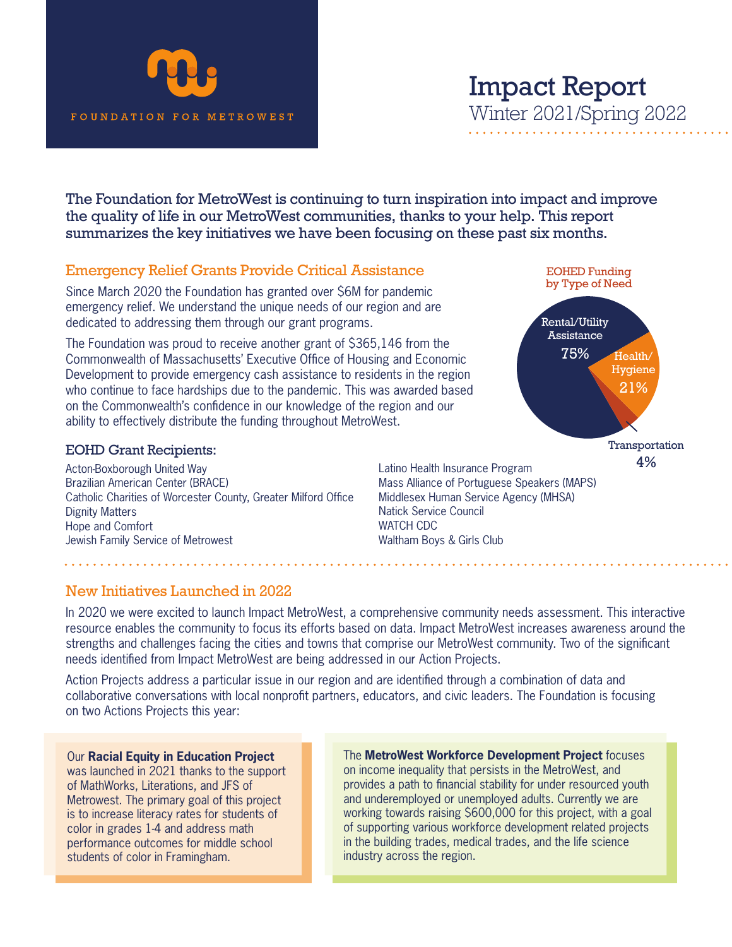

# Impact Report Winter 2021/Spring 2022

EOHED Funding by Type of Need

4%

Health/ Hygiene 21%

Rental/Utility Assistance 75%

The Foundation for MetroWest is continuing to turn inspiration into impact and improve the quality of life in our MetroWest communities, thanks to your help. This report summarizes the key initiatives we have been focusing on these past six months.

## Emergency Relief Grants Provide Critical Assistance

Since March 2020 the Foundation has granted over \$6M for pandemic emergency relief. We understand the unique needs of our region and are dedicated to addressing them through our grant programs.

The Foundation was proud to receive another grant of \$365,146 from the Commonwealth of Massachusetts' Executive Office of Housing and Economic Development to provide emergency cash assistance to residents in the region who continue to face hardships due to the pandemic. This was awarded based on the Commonwealth's confidence in our knowledge of the region and our ability to effectively distribute the funding throughout MetroWest.

#### EOHD Grant Recipients:

Acton-Boxborough United Way Brazilian American Center (BRACE) Catholic Charities of Worcester County, Greater Milford Office Dignity Matters Hope and Comfort Jewish Family Service of Metrowest

**Transportation** Latino Health Insurance Program Mass Alliance of Portuguese Speakers (MAPS) Middlesex Human Service Agency (MHSA) Natick Service Council WATCH CDC Waltham Boys & Girls Club

### New Initiatives Launched in 2022

In 2020 we were excited to launch Impact MetroWest, a comprehensive community needs assessment. This interactive resource enables the community to focus its efforts based on data. Impact MetroWest increases awareness around the strengths and challenges facing the cities and towns that comprise our MetroWest community. Two of the significant needs identified from Impact MetroWest are being addressed in our Action Projects.

Action Projects address a particular issue in our region and are identified through a combination of data and collaborative conversations with local nonprofit partners, educators, and civic leaders. The Foundation is focusing on two Actions Projects this year:

#### Our **Racial Equity in Education Project**

was launched in 2021 thanks to the support of MathWorks, Literations, and JFS of Metrowest. The primary goal of this project is to increase literacy rates for students of color in grades 1-4 and address math performance outcomes for middle school students of color in Framingham.

The **MetroWest Workforce Development Project** focuses on income inequality that persists in the MetroWest, and provides a path to financial stability for under resourced youth and underemployed or unemployed adults. Currently we are working towards raising \$600,000 for this project, with a goal of supporting various workforce development related projects in the building trades, medical trades, and the life science industry across the region.